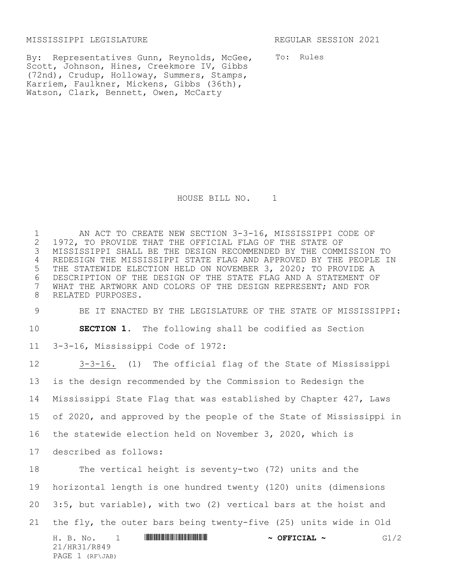MISSISSIPPI LEGISLATURE REGULAR SESSION 2021

By: Representatives Gunn, Reynolds, McGee, Scott, Johnson, Hines, Creekmore IV, Gibbs (72nd), Crudup, Holloway, Summers, Stamps, Karriem, Faulkner, Mickens, Gibbs (36th), Watson, Clark, Bennett, Owen, McCarty

To: Rules

HOUSE BILL NO. 1

1 AN ACT TO CREATE NEW SECTION 3-3-16, MISSISSIPPI CODE OF 2 1972, TO PROVIDE THAT THE OFFICIAL FLAG OF THE STATE OF 1972, TO PROVIDE THAT THE OFFICIAL FLAG OF THE STATE OF MISSISSIPPI SHALL BE THE DESIGN RECOMMENDED BY THE COMMISSION TO REDESIGN THE MISSISSIPPI STATE FLAG AND APPROVED BY THE PEOPLE IN THE STATEWIDE ELECTION HELD ON NOVEMBER 3, 2020; TO PROVIDE A 6 DESCRIPTION OF THE DESIGN OF THE STATE FLAG AND A STATEMENT OF<br>7 WHAT THE ARTWORK AND COLORS OF THE DESIGN REPRESENT: AND FOR WHAT THE ARTWORK AND COLORS OF THE DESIGN REPRESENT; AND FOR RELATED PURPOSES.

9 BE IT ENACTED BY THE LEGISLATURE OF THE STATE OF MISSISSIPPI: 10 **SECTION 1.** The following shall be codified as Section 11 3-3-16, Mississippi Code of 1972:

H. B. No. 1 \*HR31/R849\* **~ OFFICIAL ~** G1/2 21/HR31/R849 PAGE 1 (RF\JAB) 3-3-16. (1) The official flag of the State of Mississippi is the design recommended by the Commission to Redesign the Mississippi State Flag that was established by Chapter 427, Laws of 2020, and approved by the people of the State of Mississippi in the statewide election held on November 3, 2020, which is described as follows: The vertical height is seventy-two (72) units and the horizontal length is one hundred twenty (120) units (dimensions 3:5, but variable), with two (2) vertical bars at the hoist and the fly, the outer bars being twenty-five (25) units wide in Old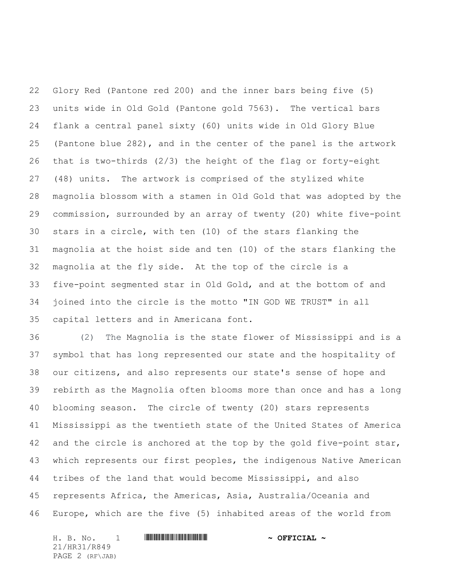Glory Red (Pantone red 200) and the inner bars being five (5) units wide in Old Gold (Pantone gold 7563). The vertical bars flank a central panel sixty (60) units wide in Old Glory Blue (Pantone blue 282), and in the center of the panel is the artwork that is two-thirds (2/3) the height of the flag or forty-eight (48) units. The artwork is comprised of the stylized white magnolia blossom with a stamen in Old Gold that was adopted by the commission, surrounded by an array of twenty (20) white five-point stars in a circle, with ten (10) of the stars flanking the magnolia at the hoist side and ten (10) of the stars flanking the magnolia at the fly side. At the top of the circle is a five-point segmented star in Old Gold, and at the bottom of and joined into the circle is the motto "IN GOD WE TRUST" in all capital letters and in Americana font.

 (2) The Magnolia is the state flower of Mississippi and is a symbol that has long represented our state and the hospitality of our citizens, and also represents our state's sense of hope and rebirth as the Magnolia often blooms more than once and has a long blooming season. The circle of twenty (20) stars represents Mississippi as the twentieth state of the United States of America 42 and the circle is anchored at the top by the gold five-point star, which represents our first peoples, the indigenous Native American tribes of the land that would become Mississippi, and also represents Africa, the Americas, Asia, Australia/Oceania and Europe, which are the five (5) inhabited areas of the world from

H. B. No. 1 **HR41/R849 ASSEMBLE AND A SEFICIAL ~** 21/HR31/R849 PAGE 2 (RF\JAB)